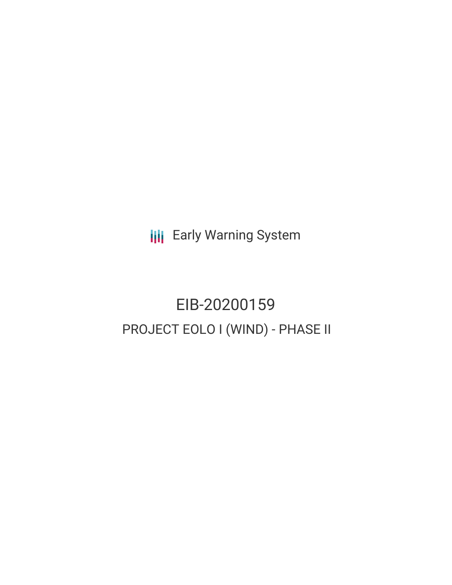**III** Early Warning System

# EIB-20200159 PROJECT EOLO I (WIND) - PHASE II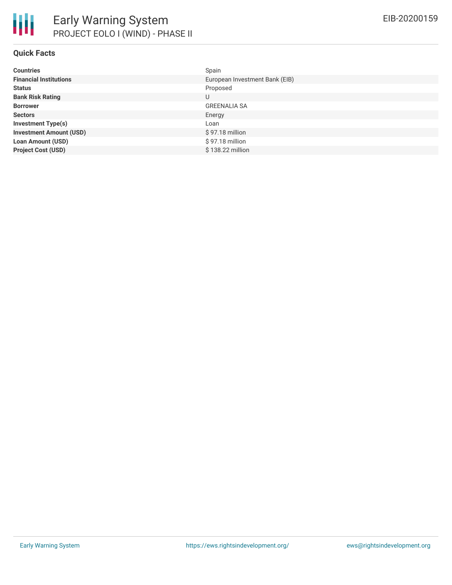

#### **Quick Facts**

| <b>Countries</b>               | Spain                          |
|--------------------------------|--------------------------------|
| <b>Financial Institutions</b>  | European Investment Bank (EIB) |
| <b>Status</b>                  | Proposed                       |
| <b>Bank Risk Rating</b>        | U                              |
| <b>Borrower</b>                | <b>GREENALIA SA</b>            |
| <b>Sectors</b>                 | Energy                         |
| <b>Investment Type(s)</b>      | Loan                           |
| <b>Investment Amount (USD)</b> | $$97.18$ million               |
| <b>Loan Amount (USD)</b>       | $$97.18$ million               |
| <b>Project Cost (USD)</b>      | \$138.22 million               |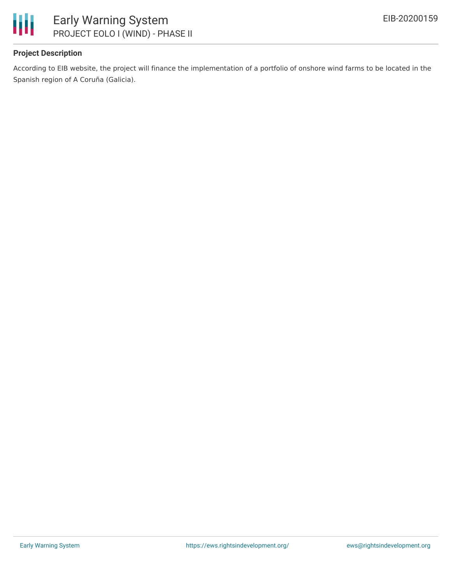

#### **Project Description**

According to EIB website, the project will finance the implementation of a portfolio of onshore wind farms to be located in the Spanish region of A Coruña (Galicia).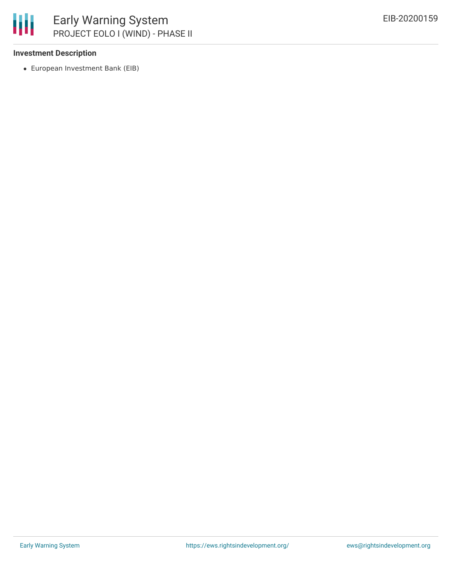

#### **Investment Description**

European Investment Bank (EIB)